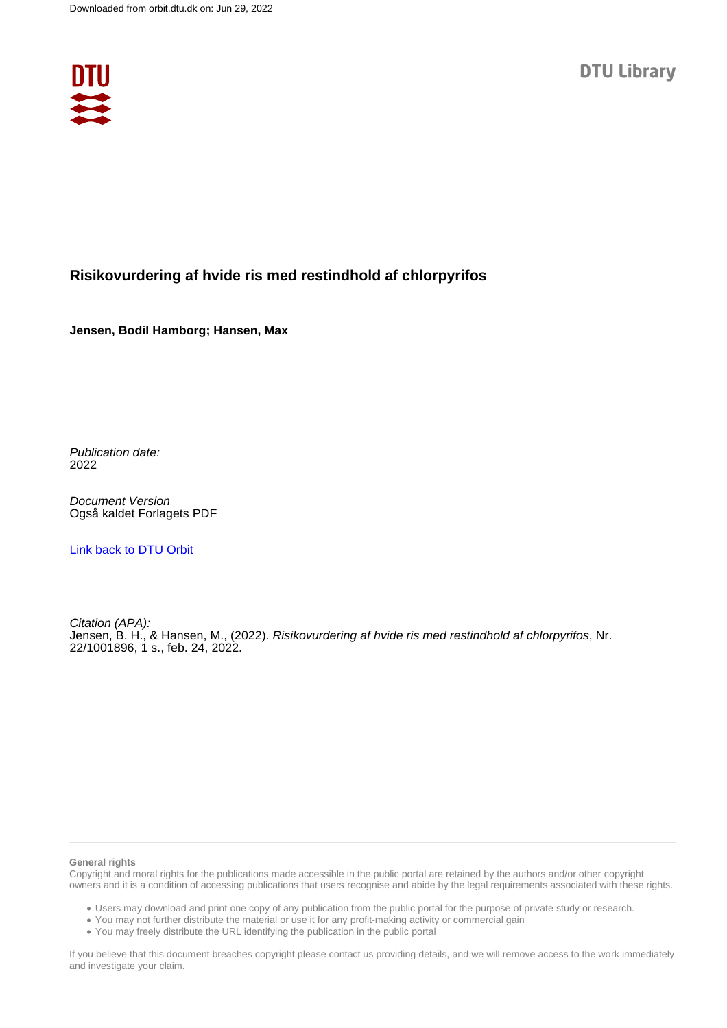

#### **Risikovurdering af hvide ris med restindhold af chlorpyrifos**

**Jensen, Bodil Hamborg; Hansen, Max**

Publication date: 2022

Document Version Også kaldet Forlagets PDF

[Link back to DTU Orbit](https://orbit.dtu.dk/da/publications/5ca3cb9d-9a10-4f7f-9a2a-3d6f2f9063b0)

Citation (APA): Jensen, B. H., & Hansen, M., (2022). Risikovurdering af hvide ris med restindhold af chlorpyrifos, Nr. 22/1001896, 1 s., feb. 24, 2022.

#### **General rights**

Copyright and moral rights for the publications made accessible in the public portal are retained by the authors and/or other copyright owners and it is a condition of accessing publications that users recognise and abide by the legal requirements associated with these rights.

Users may download and print one copy of any publication from the public portal for the purpose of private study or research.

- You may not further distribute the material or use it for any profit-making activity or commercial gain
- You may freely distribute the URL identifying the publication in the public portal

If you believe that this document breaches copyright please contact us providing details, and we will remove access to the work immediately and investigate your claim.